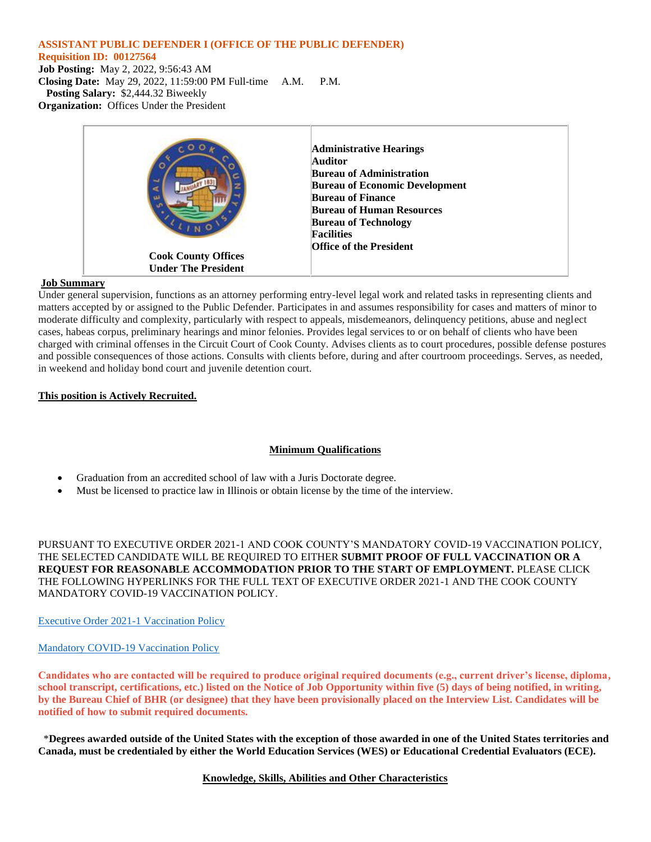#### **ASSISTANT PUBLIC DEFENDER I (OFFICE OF THE PUBLIC DEFENDER)**

#### **Requisition ID: 00127564**

**Job Posting:** May 2, 2022, 9:56:43 AM **Closing Date:** May 29, 2022, 11:59:00 PM Full-time A.M. P.M. **Posting Salary:** \$2,444.32 Biweekly **Organization:** Offices Under the President



## **Job Summary**

Under general supervision, functions as an attorney performing entry-level legal work and related tasks in representing clients and matters accepted by or assigned to the Public Defender. Participates in and assumes responsibility for cases and matters of minor to moderate difficulty and complexity, particularly with respect to appeals, misdemeanors, delinquency petitions, abuse and neglect cases, habeas corpus, preliminary hearings and minor felonies. Provides legal services to or on behalf of clients who have been charged with criminal offenses in the Circuit Court of Cook County. Advises clients as to court procedures, possible defense postures and possible consequences of those actions. Consults with clients before, during and after courtroom proceedings. Serves, as needed, in weekend and holiday bond court and juvenile detention court.

## **This position is Actively Recruited.**

# **Minimum Qualifications**

- Graduation from an accredited school of law with a Juris Doctorate degree.
- Must be licensed to practice law in Illinois or obtain license by the time of the interview.

PURSUANT TO EXECUTIVE ORDER 2021-1 AND COOK COUNTY'S MANDATORY COVID-19 VACCINATION POLICY, THE SELECTED CANDIDATE WILL BE REQUIRED TO EITHER **SUBMIT PROOF OF FULL VACCINATION OR A REQUEST FOR REASONABLE ACCOMMODATION PRIOR TO THE START OF EMPLOYMENT.** PLEASE CLICK THE FOLLOWING HYPERLINKS FOR THE FULL TEXT OF EXECUTIVE ORDER 2021-1 AND THE COOK COUNTY MANDATORY COVID-19 VACCINATION POLICY.

# [Executive Order 2021-1 Vaccination Policy](https://www.cookcountyil.gov/sites/g/files/ywwepo161/files/executive_order_2021-1_vaccination_policy_executed_8.20.21_0.pdf)

# [Mandatory COVID-19 Vaccination Policy](https://www.cookcountyil.gov/sites/g/files/ywwepo161/files/documents/2021-10/Mandatory%20COVID-19%20Vaccination.Policy%2010.19.21.pdf)

**Candidates who are contacted will be required to produce original required documents (e.g., current driver's license, diploma, school transcript, certifications, etc.) listed on the Notice of Job Opportunity within five (5) days of being notified, in writing, by the Bureau Chief of BHR (or designee) that they have been provisionally placed on the Interview List. Candidates will be notified of how to submit required documents.**

 \***Degrees awarded outside of the United States with the exception of those awarded in one of the United States territories and Canada, must be credentialed by either the World Education Services (WES) or Educational Credential Evaluators (ECE).**

# **Knowledge, Skills, Abilities and Other Characteristics**